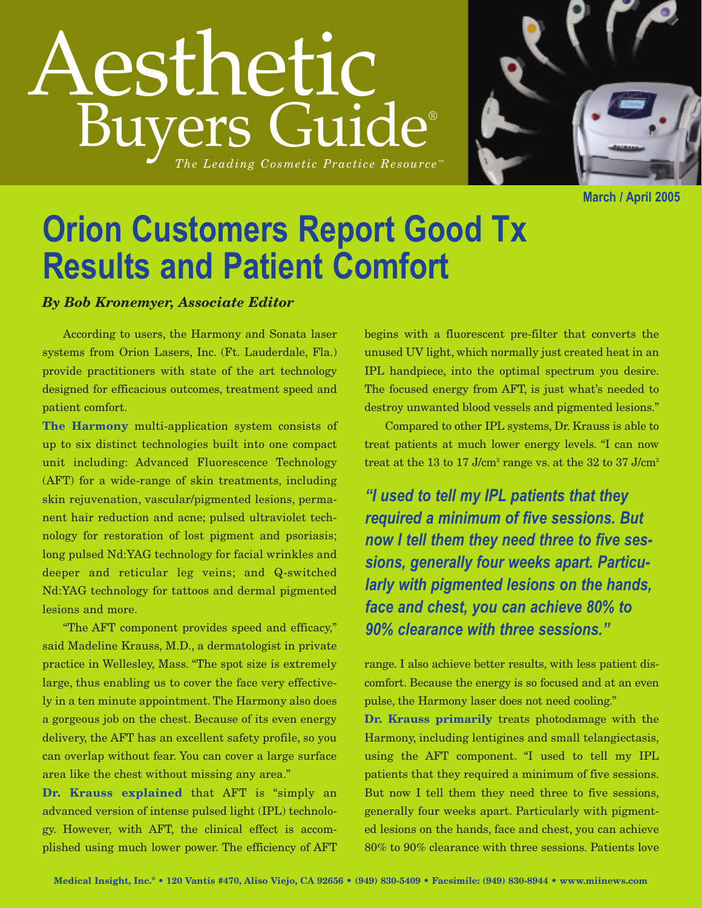## Aesthetic Buyers Guide® *The Leading Cosmetic Practice Resource ™*



**March / April 2005**

## **Orion Customers Report Good Tx Results and Patient Comfort**

## *By Bob Kronemyer, Associate Editor*

According to users, the Harmony and Sonata laser systems from Orion Lasers, Inc. (Ft. Lauderdale, Fla.) provide practitioners with state of the art technology designed for efficacious outcomes, treatment speed and patient comfort.

**The Harmony** multi-application system consists of up to six distinct technologies built into one compact unit including: Advanced Fluorescence Technology (AFT) for a wide-range of skin treatments, including skin rejuvenation, vascular/pigmented lesions, permanent hair reduction and acne; pulsed ultraviolet technology for restoration of lost pigment and psoriasis; long pulsed Nd:YAG technology for facial wrinkles and deeper and reticular leg veins; and Q-switched Nd:YAG technology for tattoos and dermal pigmented lesions and more.

"The AFT component provides speed and efficacy," said Madeline Krauss, M.D., a dermatologist in private practice in Wellesley, Mass. "The spot size is extremely large, thus enabling us to cover the face very effectively in a ten minute appointment. The Harmony also does a gorgeous job on the chest. Because of its even energy delivery, the AFT has an excellent safety profile, so you can overlap without fear. You can cover a large surface area like the chest without missing any area."

**Dr. Krauss explained** that AFT is "simply an advanced version of intense pulsed light (IPL) technology. However, with AFT, the clinical effect is accomplished using much lower power. The efficiency of AFT

begins with a fluorescent pre-filter that converts the unused UV light, which normally just created heat in an IPL handpiece, into the optimal spectrum you desire. The focused energy from AFT, is just what's needed to destroy unwanted blood vessels and pigmented lesions."

Compared to other IPL systems, Dr. Krauss is able to treat patients at much lower energy levels. "I can now treat at the 13 to 17 J/cm<sup>2</sup> range vs. at the 32 to 37 J/cm<sup>2</sup>

*"I used to tell my IPL patients that they required a minimum of five sessions. But now I tell them they need three to five sessions, generally four weeks apart. Particularly with pigmented lesions on the hands, face and chest, you can achieve 80% to 90% clearance with three sessions."*

range. I also achieve better results, with less patient discomfort. Because the energy is so focused and at an even pulse, the Harmony laser does not need cooling."

**Dr. Krauss primarily** treats photodamage with the Harmony, including lentigines and small telangiectasis, using the AFT component. "I used to tell my IPL patients that they required a minimum of five sessions. But now I tell them they need three to five sessions, generally four weeks apart. Particularly with pigmented lesions on the hands, face and chest, you can achieve 80% to 90% clearance with three sessions. Patients love